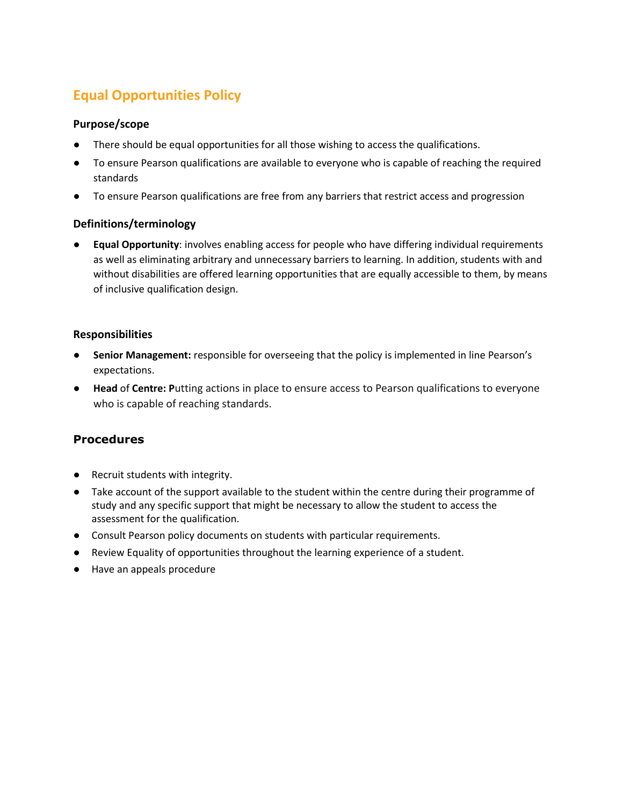# **Equal Opportunities Policy**

# **Purpose/scope**

- There should be equal opportunities for all those wishing to access the qualifications.
- To ensure Pearson qualifications are available to everyone who is capable of reaching the required standards
- To ensure Pearson qualifications are free from any barriers that restrict access and progression

# **Definitions/terminology**

**Equal Opportunity**: involves enabling access for people who have differing individual requirements as well as eliminating arbitrary and unnecessary barriers to learning. In addition, students with and without disabilities are offered learning opportunities that are equally accessible to them, by means of inclusive qualification design.

# **Responsibilities**

- Senior Management: responsible for overseeing that the policy is implemented in line Pearson's expectations.
- **Head** of **Centre: P**utting actions in place to ensure access to Pearson qualifications to everyone who is capable of reaching standards.

# **Procedures**

- Recruit students with integrity.
- Take account of the support available to the student within the centre during their programme of study and any specific support that might be necessary to allow the student to access the assessment for the qualification.
- Consult Pearson policy documents on students with particular requirements.
- Review Equality of opportunities throughout the learning experience of a student.
- Have an appeals procedure